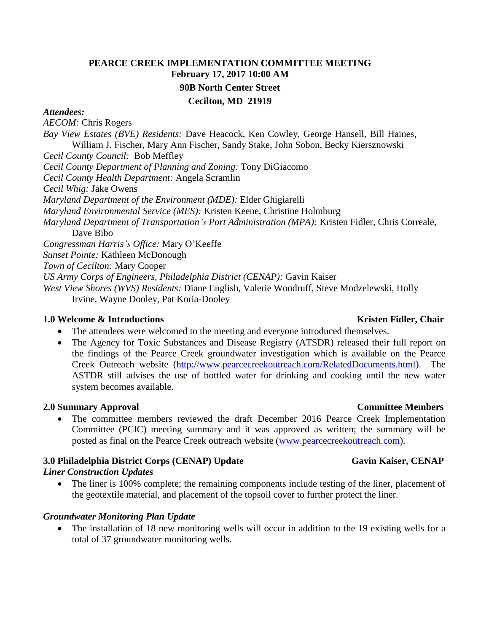# **PEARCE CREEK IMPLEMENTATION COMMITTEE MEETING February 17, 2017 10:00 AM 90B North Center Street Cecilton, MD 21919**

#### *Attendees:*

*AECOM:* Chris Rogers *Bay View Estates (BVE) Residents:* Dave Heacock, Ken Cowley, George Hansell, Bill Haines, William J. Fischer, Mary Ann Fischer, Sandy Stake, John Sobon, Becky Kiersznowski *Cecil County Council:* Bob Meffley *Cecil County Department of Planning and Zoning:* Tony DiGiacomo *Cecil County Health Department:* Angela Scramlin *Cecil Whig:* Jake Owens *Maryland Department of the Environment (MDE):* Elder Ghigiarelli *Maryland Environmental Service (MES):* Kristen Keene, Christine Holmburg *Maryland Department of Transportation's Port Administration (MPA):* Kristen Fidler, Chris Correale, Dave Bibo *Congressman Harris's Office:* Mary O'Keeffe *Sunset Pointe:* Kathleen McDonough *Town of Cecilton:* Mary Cooper *US Army Corps of Engineers, Philadelphia District (CENAP):* Gavin Kaiser *West View Shores (WVS) Residents:* Diane English, Valerie Woodruff, Steve Modzelewski, Holly Irvine, Wayne Dooley, Pat Koria-Dooley

### **1.0** Welcome & Introductions Kristen Fidler, Chair

- The attendees were welcomed to the meeting and everyone introduced themselves.
- The Agency for Toxic Substances and Disease Registry (ATSDR) released their full report on the findings of the Pearce Creek groundwater investigation which is available on the Pearce Creek Outreach website [\(http://www.pearcecreekoutreach.com/RelatedDocuments.html\)](http://www.pearcecreekoutreach.com/RelatedDocuments.html). The ASTDR still advises the use of bottled water for drinking and cooking until the new water system becomes available.

# **2.0 Summary Approval Committee Members**

• The committee members reviewed the draft December 2016 Pearce Creek Implementation Committee (PCIC) meeting summary and it was approved as written; the summary will be posted as final on the Pearce Creek outreach website [\(www.pearcecreekoutreach.com\)](http://www.pearcecreekoutreach.com/).

# **3.0** Philadelphia District Corps (CENAP) Update Gavin Kaiser, CENAP

# *Liner Construction Updates*

• The liner is 100% complete; the remaining components include testing of the liner, placement of the geotextile material, and placement of the topsoil cover to further protect the liner.

### *Groundwater Monitoring Plan Update*

 The installation of 18 new monitoring wells will occur in addition to the 19 existing wells for a total of 37 groundwater monitoring wells.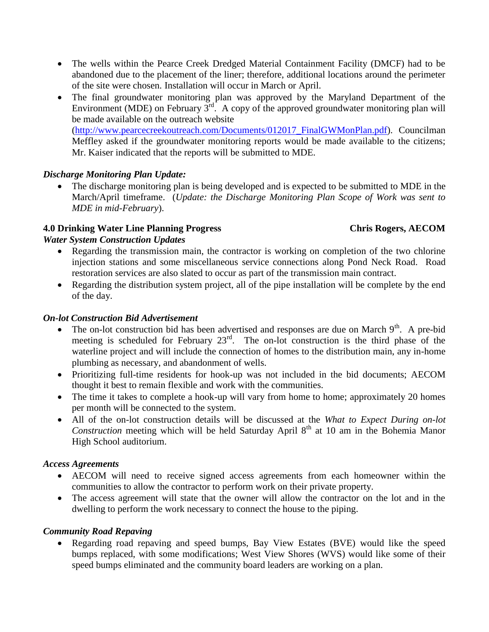- The wells within the Pearce Creek Dredged Material Containment Facility (DMCF) had to be abandoned due to the placement of the liner; therefore, additional locations around the perimeter of the site were chosen. Installation will occur in March or April.
- The final groundwater monitoring plan was approved by the Maryland Department of the Environment (MDE) on February  $3<sup>rd</sup>$ . A copy of the approved groundwater monitoring plan will be made available on the outreach website [\(http://www.pearcecreekoutreach.com/Documents/012017\\_FinalGWMonPlan.pdf\)](http://www.pearcecreekoutreach.com/Documents/012017_FinalGWMonPlan.pdf). Councilman Meffley asked if the groundwater monitoring reports would be made available to the citizens; Mr. Kaiser indicated that the reports will be submitted to MDE.

# *Discharge Monitoring Plan Update:*

 The discharge monitoring plan is being developed and is expected to be submitted to MDE in the March/April timeframe. (*Update: the Discharge Monitoring Plan Scope of Work was sent to MDE in mid-February*).

## **4.0 Drinking Water Line Planning Progress Chris Rogers, AECOM**

## *Water System Construction Updates*

- Regarding the transmission main, the contractor is working on completion of the two chlorine injection stations and some miscellaneous service connections along Pond Neck Road. Road restoration services are also slated to occur as part of the transmission main contract.
- Regarding the distribution system project, all of the pipe installation will be complete by the end of the day.

### *On-lot Construction Bid Advertisement*

- The on-lot construction bid has been advertised and responses are due on March  $9<sup>th</sup>$ . A pre-bid meeting is scheduled for February  $23^{\text{rd}}$ . The on-lot construction is the third phase of the waterline project and will include the connection of homes to the distribution main, any in-home plumbing as necessary, and abandonment of wells.
- Prioritizing full-time residents for hook-up was not included in the bid documents; AECOM thought it best to remain flexible and work with the communities.
- The time it takes to complete a hook-up will vary from home to home; approximately 20 homes per month will be connected to the system.
- All of the on-lot construction details will be discussed at the *What to Expect During on-lot Construction* meeting which will be held Saturday April 8<sup>th</sup> at 10 am in the Bohemia Manor High School auditorium.

### *Access Agreements*

- AECOM will need to receive signed access agreements from each homeowner within the communities to allow the contractor to perform work on their private property.
- The access agreement will state that the owner will allow the contractor on the lot and in the dwelling to perform the work necessary to connect the house to the piping.

### *Community Road Repaving*

 Regarding road repaving and speed bumps, Bay View Estates (BVE) would like the speed bumps replaced, with some modifications; West View Shores (WVS) would like some of their speed bumps eliminated and the community board leaders are working on a plan.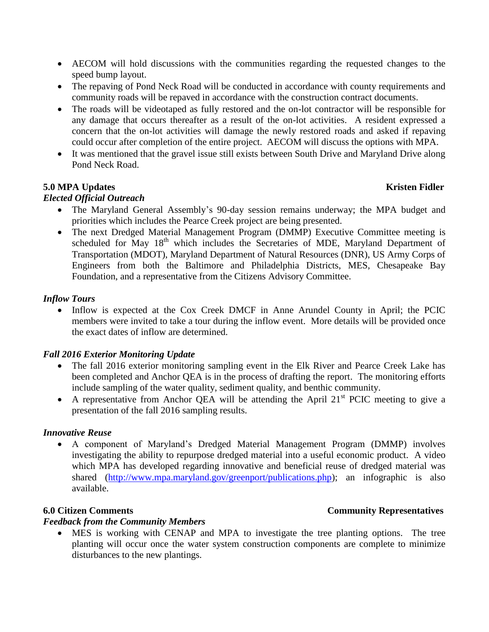- AECOM will hold discussions with the communities regarding the requested changes to the speed bump layout.
- The repaving of Pond Neck Road will be conducted in accordance with county requirements and community roads will be repaved in accordance with the construction contract documents.
- The roads will be videotaped as fully restored and the on-lot contractor will be responsible for any damage that occurs thereafter as a result of the on-lot activities. A resident expressed a concern that the on-lot activities will damage the newly restored roads and asked if repaving could occur after completion of the entire project. AECOM will discuss the options with MPA.
- It was mentioned that the gravel issue still exists between South Drive and Maryland Drive along Pond Neck Road.

# **5.0 MPA Updates Kristen Fidler**

### *Elected Official Outreach*

- The Maryland General Assembly's 90-day session remains underway; the MPA budget and priorities which includes the Pearce Creek project are being presented.
- The next Dredged Material Management Program (DMMP) Executive Committee meeting is scheduled for May 18<sup>th</sup> which includes the Secretaries of MDE, Maryland Department of Transportation (MDOT), Maryland Department of Natural Resources (DNR), US Army Corps of Engineers from both the Baltimore and Philadelphia Districts, MES, Chesapeake Bay Foundation, and a representative from the Citizens Advisory Committee.

## *Inflow Tours*

• Inflow is expected at the Cox Creek DMCF in Anne Arundel County in April; the PCIC members were invited to take a tour during the inflow event. More details will be provided once the exact dates of inflow are determined.

### *Fall 2016 Exterior Monitoring Update*

- The fall 2016 exterior monitoring sampling event in the Elk River and Pearce Creek Lake has been completed and Anchor QEA is in the process of drafting the report. The monitoring efforts include sampling of the water quality, sediment quality, and benthic community.
- A representative from Anchor QEA will be attending the April  $21<sup>st</sup>$  PCIC meeting to give a presentation of the fall 2016 sampling results.

### *Innovative Reuse*

 A component of Maryland's Dredged Material Management Program (DMMP) involves investigating the ability to repurpose dredged material into a useful economic product. A video which MPA has developed regarding innovative and beneficial reuse of dredged material was shared [\(http://www.mpa.maryland.gov/greenport/publications.php\)](http://www.mpa.maryland.gov/greenport/publications.php); an infographic is also available.

### *Feedback from the Community Members*

 MES is working with CENAP and MPA to investigate the tree planting options. The tree planting will occur once the water system construction components are complete to minimize disturbances to the new plantings.

# **6.0 Citizen Comments Community Representatives**